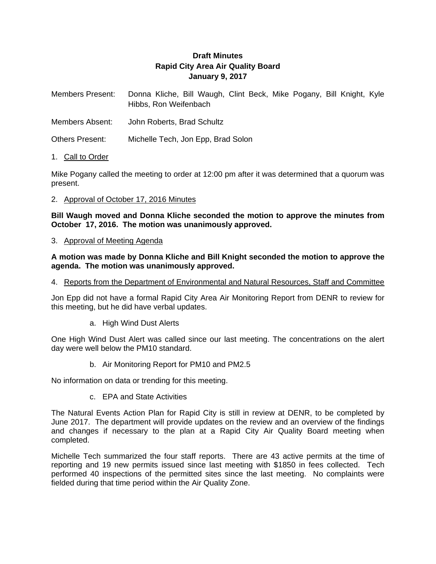# **Draft Minutes Rapid City Area Air Quality Board January 9, 2017**

Members Present: Donna Kliche, Bill Waugh, Clint Beck, Mike Pogany, Bill Knight, Kyle Hibbs, Ron Weifenbach

Members Absent: John Roberts, Brad Schultz

Others Present: Michelle Tech, Jon Epp, Brad Solon

#### 1. Call to Order

Mike Pogany called the meeting to order at 12:00 pm after it was determined that a quorum was present.

#### 2. Approval of October 17, 2016 Minutes

**Bill Waugh moved and Donna Kliche seconded the motion to approve the minutes from October 17, 2016. The motion was unanimously approved.** 

#### 3. Approval of Meeting Agenda

**A motion was made by Donna Kliche and Bill Knight seconded the motion to approve the agenda. The motion was unanimously approved.** 

#### 4. Reports from the Department of Environmental and Natural Resources, Staff and Committee

Jon Epp did not have a formal Rapid City Area Air Monitoring Report from DENR to review for this meeting, but he did have verbal updates.

a. High Wind Dust Alerts

One High Wind Dust Alert was called since our last meeting. The concentrations on the alert day were well below the PM10 standard.

b. Air Monitoring Report for PM10 and PM2.5

No information on data or trending for this meeting.

c. EPA and State Activities

The Natural Events Action Plan for Rapid City is still in review at DENR, to be completed by June 2017. The department will provide updates on the review and an overview of the findings and changes if necessary to the plan at a Rapid City Air Quality Board meeting when completed.

Michelle Tech summarized the four staff reports. There are 43 active permits at the time of reporting and 19 new permits issued since last meeting with \$1850 in fees collected. Tech performed 40 inspections of the permitted sites since the last meeting. No complaints were fielded during that time period within the Air Quality Zone.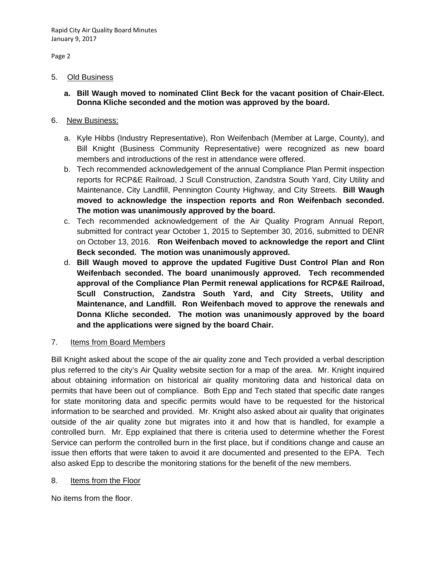Page 2

#### 5. Old Business

**a. Bill Waugh moved to nominated Clint Beck for the vacant position of Chair-Elect. Donna Kliche seconded and the motion was approved by the board.** 

### 6. New Business:

- a. Kyle Hibbs (Industry Representative), Ron Weifenbach (Member at Large, County), and Bill Knight (Business Community Representative) were recognized as new board members and introductions of the rest in attendance were offered.
- b. Tech recommended acknowledgement of the annual Compliance Plan Permit inspection reports for RCP&E Railroad, J Scull Construction, Zandstra South Yard, City Utility and Maintenance, City Landfill, Pennington County Highway, and City Streets. **Bill Waugh moved to acknowledge the inspection reports and Ron Weifenbach seconded. The motion was unanimously approved by the board.**
- c. Tech recommended acknowledgement of the Air Quality Program Annual Report, submitted for contract year October 1, 2015 to September 30, 2016, submitted to DENR on October 13, 2016. **Ron Weifenbach moved to acknowledge the report and Clint Beck seconded. The motion was unanimously approved.**
- d. **Bill Waugh moved to approve the updated Fugitive Dust Control Plan and Ron Weifenbach seconded. The board unanimously approved. Tech recommended approval of the Compliance Plan Permit renewal applications for RCP&E Railroad, Scull Construction, Zandstra South Yard, and City Streets, Utility and Maintenance, and Landfill. Ron Weifenbach moved to approve the renewals and Donna Kliche seconded. The motion was unanimously approved by the board and the applications were signed by the board Chair.**
- 7. Items from Board Members

Bill Knight asked about the scope of the air quality zone and Tech provided a verbal description plus referred to the city's Air Quality website section for a map of the area. Mr. Knight inquired about obtaining information on historical air quality monitoring data and historical data on permits that have been out of compliance. Both Epp and Tech stated that specific date ranges for state monitoring data and specific permits would have to be requested for the historical information to be searched and provided. Mr. Knight also asked about air quality that originates outside of the air quality zone but migrates into it and how that is handled, for example a controlled burn. Mr. Epp explained that there is criteria used to determine whether the Forest Service can perform the controlled burn in the first place, but if conditions change and cause an issue then efforts that were taken to avoid it are documented and presented to the EPA. Tech also asked Epp to describe the monitoring stations for the benefit of the new members.

8. Items from the Floor

No items from the floor.